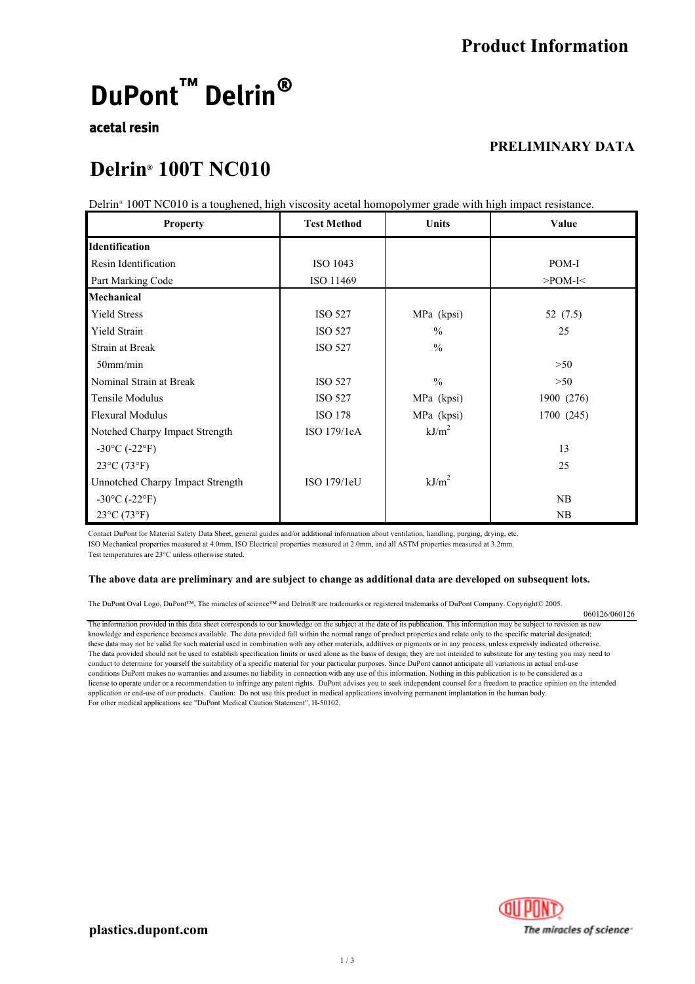# **DuPont™** Delrin®

### **acetal resin**

### **PRELIMINARY DATA**

### **Delrin<sup>®</sup>** 100T NC010

Delrin<sup>®</sup> 100T NC010 is a toughened, high viscosity acetal homopolymer grade with high impact resistance.

| <b>Property</b>                         | <b>Test Method</b> | Units             | Value         |
|-----------------------------------------|--------------------|-------------------|---------------|
| <b>Identification</b>                   |                    |                   |               |
| Resin Identification                    | ISO 1043           |                   | POM-I         |
| Part Marking Code                       | ISO 11469          |                   | $>$ POM-I $<$ |
| Mechanical                              |                    |                   |               |
| <b>Yield Stress</b>                     | <b>ISO 527</b>     | MPa (kpsi)        | 52 (7.5)      |
| <b>Yield Strain</b>                     | <b>ISO 527</b>     | $\frac{0}{0}$     | 25            |
| <b>Strain at Break</b>                  | <b>ISO 527</b>     | $\frac{0}{0}$     |               |
| $50$ mm/min                             |                    |                   | >50           |
| Nominal Strain at Break                 | <b>ISO 527</b>     | $\frac{0}{0}$     | >50           |
| Tensile Modulus                         | <b>ISO 527</b>     | MPa (kpsi)        | 1900 (276)    |
| <b>Flexural Modulus</b>                 | <b>ISO 178</b>     | MPa (kpsi)        | 1700 (245)    |
| Notched Charpy Impact Strength          | ISO 179/1eA        | kJ/m <sup>2</sup> |               |
| $-30^{\circ}$ C ( $-22^{\circ}$ F)      |                    |                   | 13            |
| $23^{\circ}C(73^{\circ}F)$              |                    |                   | 25            |
| <b>Unnotched Charpy Impact Strength</b> | ISO 179/1eU        | $kJ/m^2$          |               |
| $-30^{\circ}$ C ( $-22^{\circ}$ F)      |                    |                   | NB            |
| 23°C (73°F)                             |                    |                   | NB            |

Contact DuPont for Material Safety Data Sheet, general guides and/or additional information about ventilation, handling, purging, drying, etc. ISO Mechanical properties measured at 4.0mm, ISO Electrical properties measured at 2.0mm, and all ASTM properties measured at 3.2mm. Test temperatures are 23°C unless otherwise stated.

#### **The above data are preliminary and are subject to change as additional data are developed on subsequent lots.**

The DuPont Oval Logo, DuPont™, The miracles of science™ and Delrin® are trademarks or registered trademarks of DuPont Company. Copyright© 2005.

The information provided in this data sheet corresponds to our knowledge on the subject at the date of its publication. This information may be subject to revision as new knowledge and experience becomes available. The data provided fall within the normal range of product properties and relate only to the specific material designated; these data may not be valid for such material used in combination with any other materials, additives or pigments or in any process, unless expressly indicated otherwise. The data provided should not be used to establish specification limits or used alone as the basis of design; they are not intended to substitute for any testing you may need to conduct to determine for yourself the suitability of a specific material for your particular purposes. Since DuPont cannot anticipate all variations in actual end-use conditions DuPont makes no warranties and assumes no liability in connection with any use of this information. Nothing in this publication is to be considered as a license to operate under or a recommendation to infringe any patent rights. DuPont advises you to seek independent counsel for a freedom to practice opinion on the intended application or end-use of our products. Caution: Do not use this product in medical applications involving permanent implantation in the human body. For other medical applications see "DuPont Medical Caution Statement", H-50102.



060126/060126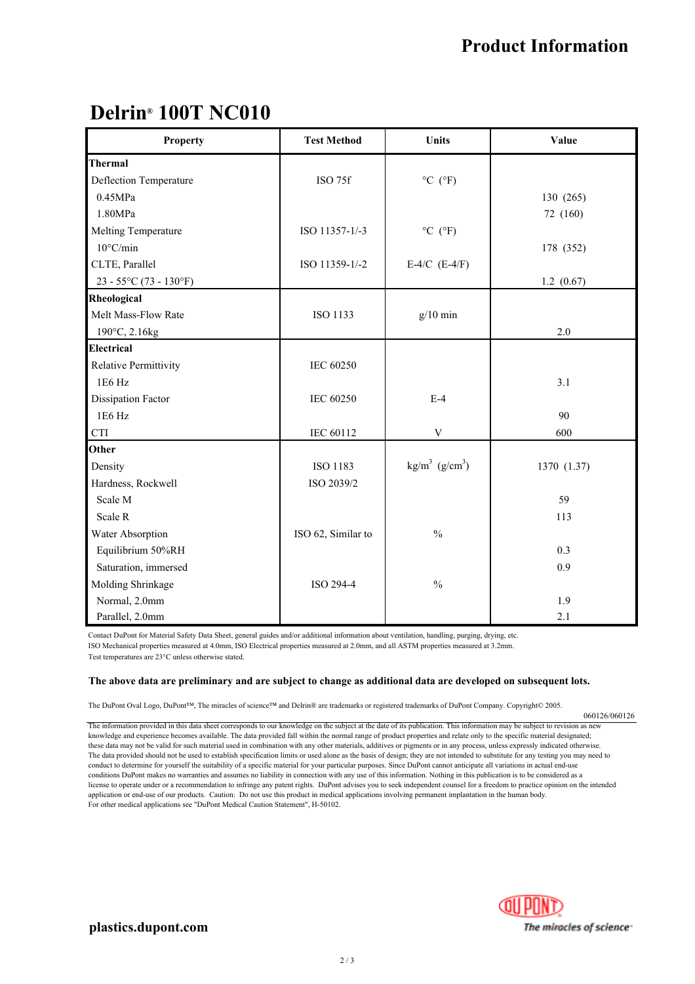# **Delrin<sup>®</sup> 100T NC010**

| <b>Property</b>                       | <b>Test Method</b> | Units                            | Value       |
|---------------------------------------|--------------------|----------------------------------|-------------|
| <b>Thermal</b>                        |                    |                                  |             |
| Deflection Temperature                | ISO 75f            | $^{\circ}$ C ( $^{\circ}$ F)     |             |
| 0.45MPa                               |                    |                                  | 130 (265)   |
| 1.80MPa                               |                    |                                  | 72 (160)    |
| Melting Temperature                   | ISO 11357-1/-3     | $^{\circ}$ C ( $^{\circ}$ F)     |             |
| $10^{\circ}$ C/min                    |                    |                                  | 178 (352)   |
| CLTE, Parallel                        | ISO 11359-1/-2     | E-4/C $(E-4/F)$                  |             |
| $23 - 55^{\circ}C(73 - 130^{\circ}F)$ |                    |                                  | 1.2(0.67)   |
| Rheological                           |                    |                                  |             |
| Melt Mass-Flow Rate                   | ISO 1133           | $g/10$ min                       |             |
| 190°C, 2.16kg                         |                    |                                  | 2.0         |
| <b>Electrical</b>                     |                    |                                  |             |
| <b>Relative Permittivity</b>          | IEC 60250          |                                  |             |
| 1E6 Hz                                |                    |                                  | 3.1         |
| <b>Dissipation Factor</b>             | <b>IEC 60250</b>   | $E-4$                            |             |
| 1E6 Hz                                |                    |                                  | 90          |
| $\rm CTI$                             | IEC 60112          | $\mathbf V$                      | 600         |
| Other                                 |                    |                                  |             |
| Density                               | ISO 1183           | $\text{kg/m}^3 \text{ (g/cm}^3)$ | 1370 (1.37) |
| Hardness, Rockwell                    | ISO 2039/2         |                                  |             |
| Scale M                               |                    |                                  | 59          |
| Scale R                               |                    |                                  | 113         |
| Water Absorption                      | ISO 62, Similar to | $\frac{0}{0}$                    |             |
| Equilibrium 50%RH                     |                    |                                  | 0.3         |
| Saturation, immersed                  |                    |                                  | 0.9         |
| Molding Shrinkage                     | ISO 294-4          | $\%$                             |             |
| Normal, 2.0mm                         |                    |                                  | 1.9         |
| Parallel, 2.0mm                       |                    |                                  | 2.1         |

Contact DuPont for Material Safety Data Sheet, general guides and/or additional information about ventilation, handling, purging, drying, etc. ISO Mechanical properties measured at 4.0mm, ISO Electrical properties measured at 2.0mm, and all ASTM properties measured at 3.2mm. Test temperatures are 23°C unless otherwise stated.

**The above data are preliminary and are subject to change as additional data are developed on subsequent lots.**

The DuPont Oval Logo, DuPont™, The miracles of science™ and Delrin® are trademarks or registered trademarks of DuPont Company. Copyright© 2005.

The information provided in this data sheet corresponds to our knowledge on the subject at the date of its publication. This information may be subject to revision as new knowledge and experience becomes available. The data provided fall within the normal range of product properties and relate only to the specific material designated; these data may not be valid for such material used in combination with any other materials, additives or pigments or in any process, unless expressly indicated otherwise. The data provided should not be used to establish specification limits or used alone as the basis of design; they are not intended to substitute for any testing you may need to conduct to determine for yourself the suitability of a specific material for your particular purposes. Since DuPont cannot anticipate all variations in actual end-use conditions DuPont makes no warranties and assumes no liability in connection with any use of this information. Nothing in this publication is to be considered as a license to operate under or a recommendation to infringe any patent rights. DuPont advises you to seek independent counsel for a freedom to practice opinion on the intended application or end-use of our products. Caution: Do not use this product in medical applications involving permanent implantation in the human body. For other medical applications see "DuPont Medical Caution Statement", H-50102.



060126/060126